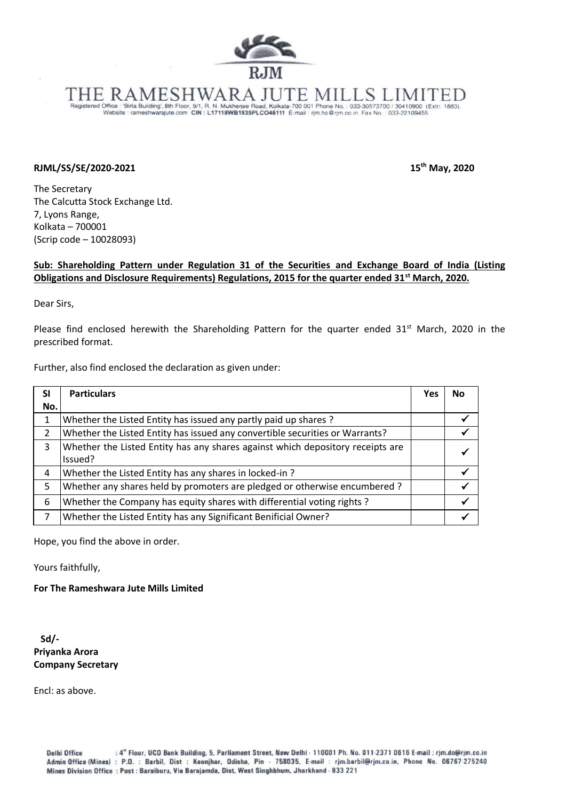

## ESHWARA JUTE MII

Registered Office : 'Birla Building', 8th Floor, 9/1, R. N. Mukherjee Road, Kolkata-700 001 Phone No. : 033-30573700 / 30410900 (Extr. 1883).<br>Website : rameshwarajute.com CIN : L17119WB1935PLCO46111 E-mail : rjm.ho@rjm.co.

## **RJML/SS/SE/2020-2021 15**

**th May, 2020**

The Secretary The Calcutta Stock Exchange Ltd. 7, Lyons Range, Kolkata – 700001 (Scrip code – 10028093)

## **Sub: Shareholding Pattern under Regulation 31 of the Securities and Exchange Board of India (Listing Obligations and Disclosure Requirements) Regulations, 2015 for the quarter ended 31st March, 2020.**

Dear Sirs,

Please find enclosed herewith the Shareholding Pattern for the quarter ended  $31<sup>st</sup>$  March, 2020 in the prescribed format.

Further, also find enclosed the declaration as given under:

| <b>SI</b> | <b>Particulars</b>                                                             | <b>Yes</b> | No. |
|-----------|--------------------------------------------------------------------------------|------------|-----|
| No.       |                                                                                |            |     |
|           | Whether the Listed Entity has issued any partly paid up shares ?               |            |     |
| 2         | Whether the Listed Entity has issued any convertible securities or Warrants?   |            |     |
| 3         | Whether the Listed Entity has any shares against which depository receipts are |            |     |
|           | Issued?                                                                        |            |     |
| 4         | Whether the Listed Entity has any shares in locked-in?                         |            |     |
| 5         | Whether any shares held by promoters are pledged or otherwise encumbered ?     |            |     |
| 6         | Whether the Company has equity shares with differential voting rights?         |            |     |
| 7         | Whether the Listed Entity has any Significant Benificial Owner?                |            |     |

Hope, you find the above in order.

Yours faithfully,

**For The Rameshwara Jute Mills Limited**

 **Sd/- Priyanka Arora Company Secretary**

Encl: as above.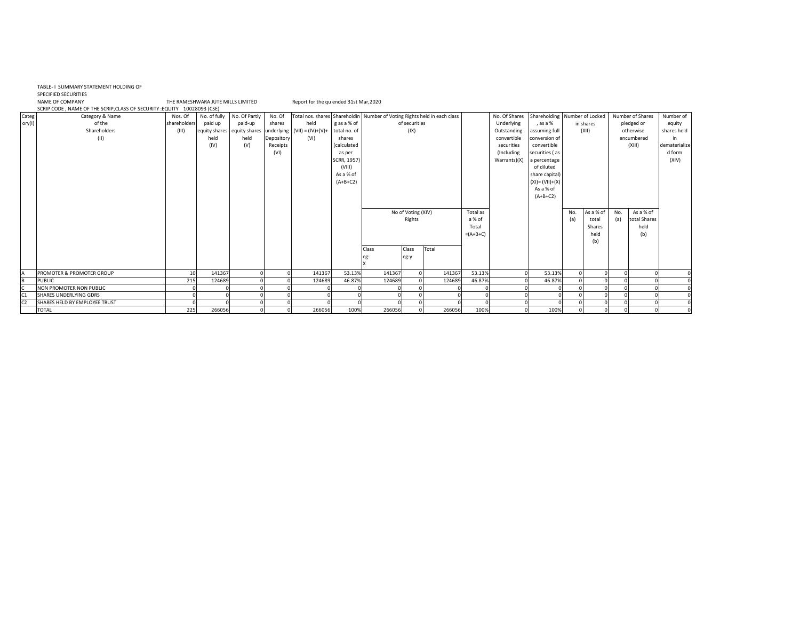|                | TABLE- I SUMMARY STATEMENT HOLDING OF<br><b>SPECIFIED SECURITIES</b><br><b>NAME OF COMPANY</b><br>SCRIP CODE, NAME OF THE SCRIP, CLASS OF SECURITY : EQUITY 10028093 (CSE) |              | THE RAMESHWARA JUTE MILLS LIMITED |               |            | Report for the qu ended 31st Mar, 2020      |                    |                                                                          |                    |        |            |               |                               |     |           |     |                  |               |
|----------------|----------------------------------------------------------------------------------------------------------------------------------------------------------------------------|--------------|-----------------------------------|---------------|------------|---------------------------------------------|--------------------|--------------------------------------------------------------------------|--------------------|--------|------------|---------------|-------------------------------|-----|-----------|-----|------------------|---------------|
| Categ          | Category & Name                                                                                                                                                            | Nos. Of      | No. of fully                      | No. Of Partly | No. Of     |                                             |                    | Total nos. shares Shareholdin Number of Voting Rights held in each class |                    |        |            | No. Of Shares | Shareholding Number of Locked |     |           |     | Number of Shares | Number of     |
| ory(I)         | of the                                                                                                                                                                     | shareholders | paid up                           | paid-up       | shares     | held                                        | g as a % of        |                                                                          | of securities      |        |            | Underlying    | , as a %                      |     | in shares |     | pledged or       | equity        |
|                | Shareholders                                                                                                                                                               | (III)        | equity shares equity shares       |               |            | underlying $(VII) = (IV)+(V)+$ total no. of |                    |                                                                          | (IX)               |        |            | Outstanding   | assuming full                 |     | (XII)     |     | otherwise        | shares held   |
|                | (11)                                                                                                                                                                       |              | held                              | held          | Depository | (VI)                                        | shares             |                                                                          |                    |        |            | convertible   | conversion of                 |     |           |     | encumbered       | in            |
|                |                                                                                                                                                                            |              | (IV)                              | (V)           | Receipts   |                                             | <i>(calculated</i> |                                                                          |                    |        |            | securities    | convertible                   |     |           |     | (XIII)           | dematerialize |
|                |                                                                                                                                                                            |              |                                   |               | (VI)       |                                             | as per             |                                                                          |                    |        |            | (Including    | securities (as                |     |           |     |                  | d form        |
|                |                                                                                                                                                                            |              |                                   |               |            |                                             | SCRR, 1957)        |                                                                          |                    |        |            | Warrants)(X)  | a percentage                  |     |           |     |                  | (XIV)         |
|                |                                                                                                                                                                            |              |                                   |               |            |                                             | (VIII)             |                                                                          |                    |        |            |               | of diluted                    |     |           |     |                  |               |
|                |                                                                                                                                                                            |              |                                   |               |            |                                             | As a % of          |                                                                          |                    |        |            |               | share capital)                |     |           |     |                  |               |
|                |                                                                                                                                                                            |              |                                   |               |            |                                             | $(A+B+C2)$         |                                                                          |                    |        |            |               | $(XI) = (VII)+(X)$            |     |           |     |                  |               |
|                |                                                                                                                                                                            |              |                                   |               |            |                                             |                    |                                                                          |                    |        |            |               | As a % of                     |     |           |     |                  |               |
|                |                                                                                                                                                                            |              |                                   |               |            |                                             |                    |                                                                          |                    |        |            |               | $(A+B+C2)$                    |     |           |     |                  |               |
|                |                                                                                                                                                                            |              |                                   |               |            |                                             |                    |                                                                          |                    |        |            |               |                               |     |           |     |                  |               |
|                |                                                                                                                                                                            |              |                                   |               |            |                                             |                    |                                                                          | No of Voting (XIV) |        | Total as   |               |                               | No. | As a % of | No. | As a % of        |               |
|                |                                                                                                                                                                            |              |                                   |               |            |                                             |                    |                                                                          | Rights             |        | a % of     |               |                               | (a) | total     | (a) | total Shares     |               |
|                |                                                                                                                                                                            |              |                                   |               |            |                                             |                    |                                                                          |                    |        | Total      |               |                               |     | Shares    |     | held             |               |
|                |                                                                                                                                                                            |              |                                   |               |            |                                             |                    |                                                                          |                    |        | $=(A+B+C)$ |               |                               |     | held      |     | (b)              |               |
|                |                                                                                                                                                                            |              |                                   |               |            |                                             |                    |                                                                          |                    |        |            |               |                               |     | (b)       |     |                  |               |
|                |                                                                                                                                                                            |              |                                   |               |            |                                             |                    | Class                                                                    | Class              | Total  |            |               |                               |     |           |     |                  |               |
|                |                                                                                                                                                                            |              |                                   |               |            |                                             |                    | eg:                                                                      | eg:y               |        |            |               |                               |     |           |     |                  |               |
|                |                                                                                                                                                                            |              |                                   |               |            |                                             |                    |                                                                          |                    |        |            |               |                               |     |           |     |                  |               |
|                | PROMOTER & PROMOTER GROUP                                                                                                                                                  | 10           | 141367                            |               |            | 141367                                      | 53.13%             | 141367                                                                   |                    | 141367 | 53.13%     |               | 53.13%                        |     |           |     |                  | C             |
| B              | <b>PUBLIC</b>                                                                                                                                                              | 215          | 124689                            |               |            | 124689                                      | 46.87%             | 124689                                                                   |                    | 124689 | 46.87%     |               | 46.87%                        |     |           |     |                  |               |
|                | NON PROMOTER NON PUBLIC                                                                                                                                                    |              |                                   |               |            |                                             |                    |                                                                          |                    |        |            |               |                               |     |           |     |                  |               |
| C1             | SHARES UNDERLYING GDRS                                                                                                                                                     |              |                                   |               |            |                                             |                    |                                                                          |                    |        |            |               |                               |     |           |     |                  |               |
| C <sub>2</sub> | SHARES HELD BY EMPLOYEE TRUST                                                                                                                                              |              |                                   |               |            |                                             |                    |                                                                          |                    |        |            |               |                               |     |           |     |                  |               |
|                | <b>TOTAL</b>                                                                                                                                                               | 225          | 266056                            |               |            | 266056                                      | 100%               | 266056                                                                   |                    | 266056 | 100%       |               | 100%                          |     |           |     |                  |               |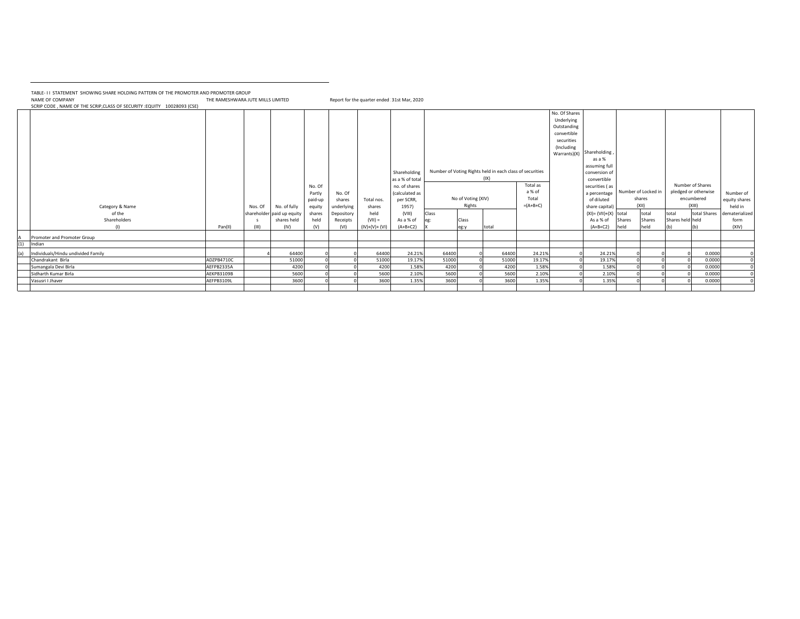TABLE- I I STATEMENT SHOWING SHARE HOLDING PATTERN OF THE PROMOTER AND PROMOTER GROUP

NAME OF COMPANY THE RAMESHWARA JUTE MILLS LIMITED Report for the quarter ended 31st Mar, 2020

SCRIP CODE , NAME OF THE SCRIP,CLASS OF SECURITY :EQUITY 10028093 (CSE)

|     |                                    |            |         |                            |                             |                  |                 | Shareholding<br>as a % of total              |       |                    | Number of Voting Rights held in each class of securities<br>(IX) |                             | No. Of Shares<br>Underlying<br>Outstanding<br>convertible<br>securities<br>(Including<br>Warrants)(X) | Shareholding<br>as a %<br>assuming full<br>conversion o<br>convertible |        |                               |                  |                                                        |                            |
|-----|------------------------------------|------------|---------|----------------------------|-----------------------------|------------------|-----------------|----------------------------------------------|-------|--------------------|------------------------------------------------------------------|-----------------------------|-------------------------------------------------------------------------------------------------------|------------------------------------------------------------------------|--------|-------------------------------|------------------|--------------------------------------------------------|----------------------------|
|     |                                    |            |         |                            | No. Of<br>Partly<br>paid-up | No. Of<br>shares | Total nos.      | no. of shares<br>(calculated as<br>per SCRR, |       | No of Voting (XIV) |                                                                  | Total as<br>a % of<br>Total |                                                                                                       | securities (as<br>a percentage<br>of diluted                           |        | Number of Locked in<br>shares |                  | Number of Shares<br>pledged or otherwise<br>encumbered | Number of<br>equity shares |
|     | Category & Name                    |            | Nos. Of | No. of fully               | equity                      | underlying       | shares          | 1957)                                        |       | Rights             |                                                                  | $=(A+B+C)$                  |                                                                                                       | share capital)                                                         |        | (XII)                         |                  | (XIII)                                                 | held in                    |
|     | of the                             |            |         | shareholder paid up equity | shares                      | Depository       | held            | (VIII)                                       | Class |                    |                                                                  |                             |                                                                                                       | $(XI) = (VII)+(X)$ total                                               |        | total                         | total            | total Shares                                           | dematerialized             |
|     | Shareholders                       |            |         | shares held                | held                        | Receipts         | $(VII) =$       | As a % of                                    | eg:   | Class              |                                                                  |                             |                                                                                                       | As a % of                                                              | Shares | Shares                        | Shares held held |                                                        | form                       |
|     | (1)                                | Pan(II)    | (III)   | (IV)                       | (V)                         | (VI)             | $(IV)+(V)+(VI)$ | $(A+B+C2)$                                   |       | eg:v               | total                                                            |                             |                                                                                                       | $(A+B+C2)$                                                             | held   | held                          | (h)              |                                                        | (XIV)                      |
| А   | Promoter and Promoter Group        |            |         |                            |                             |                  |                 |                                              |       |                    |                                                                  |                             |                                                                                                       |                                                                        |        |                               |                  |                                                        |                            |
| (1) | Indian                             |            |         |                            |                             |                  |                 |                                              |       |                    |                                                                  |                             |                                                                                                       |                                                                        |        |                               |                  |                                                        |                            |
| (a) | Individuals/Hindu undivided Family |            |         | 64400                      |                             |                  | 64400           | 24.21%                                       | 64400 |                    | 64400                                                            | 24.21%                      |                                                                                                       | 24.21%                                                                 |        |                               |                  | 0.0000                                                 |                            |
|     | Chandrakant Birla                  | ADZPB4710C |         | 51000                      |                             |                  | 51000           | 19.17%                                       | 51000 |                    | 51000                                                            | 19.17%                      |                                                                                                       | 19.17%                                                                 |        |                               |                  | 0.0000                                                 |                            |
|     | Sumangala Devi Birla               | AEFPB2335A |         | 4200                       |                             |                  | 4200            | 1.58%                                        | 4200  |                    | 4200                                                             | 1.58%                       |                                                                                                       | 1.58%                                                                  |        |                               |                  | 0.0000                                                 |                            |
|     | Sidharth Kumar Birla               | AEKPB3109B |         | 5600                       |                             |                  | 5600            | 2.10%                                        | 5600  |                    | 5600                                                             | 2.10%                       |                                                                                                       | 2.10%                                                                  |        |                               |                  | 0.0000                                                 |                            |
|     | Vasusri I Jhaver                   | AEFPB3109L |         | 3600                       |                             |                  | 3600            | 1.35%                                        | 3600  |                    | 3600                                                             | 1.35%                       |                                                                                                       | 1.35%                                                                  |        |                               |                  | 0.0000                                                 |                            |
|     |                                    |            |         |                            |                             |                  |                 |                                              |       |                    |                                                                  |                             |                                                                                                       |                                                                        |        |                               |                  |                                                        |                            |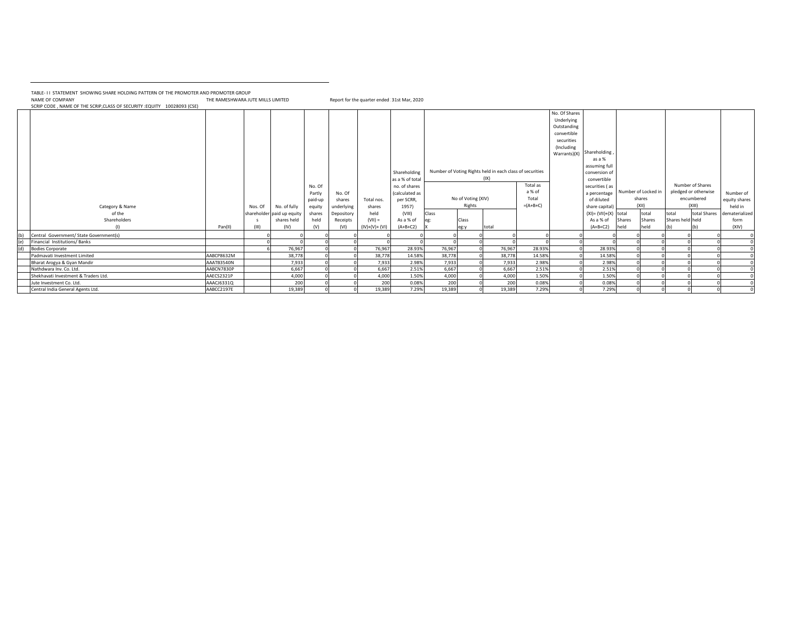TABLE- I I STATEMENT SHOWING SHARE HOLDING PATTERN OF THE PROMOTER AND PROMOTER GROUP

NAME OF COMPANY THE RAMESHWARA JUTE MILLS LIMITED Report for the quarter ended 31st Mar, 2020

SCRIP CODE , NAME OF THE SCRIP,CLASS OF SECURITY :EQUITY 10028093 (CSE)

|     | Category & Name                         |            | Nos. Of | No. of fully               | No. Of<br>Partly<br>paid-up<br>equity | No. Of<br>shares<br>underlying | Total nos.<br>shares | Shareholding<br>as a % of tota<br>no. of shares<br>(calculated as<br>per SCRR,<br>1957) |        | No of Voting (XIV)<br>Rights | Number of Voting Rights held in each class of securities<br>(IX) | Total as<br>a % of<br>Total<br>$=(A+B+C)$ | No. Of Shares<br>Underlying<br>Outstanding<br>convertible<br>securities<br>(Including<br>Warrants)(X) | Shareholding<br>as a %<br>assuming ful<br>conversion of<br>convertible<br>securities (as<br>a percentage<br>of diluted<br>share capital |        | Number of Locked in<br>shares<br>(X  ) |                  | Number of Shares<br>pledged or otherwise<br>encumbered<br>(XIII) | Number of<br>equity shares<br>held in |
|-----|-----------------------------------------|------------|---------|----------------------------|---------------------------------------|--------------------------------|----------------------|-----------------------------------------------------------------------------------------|--------|------------------------------|------------------------------------------------------------------|-------------------------------------------|-------------------------------------------------------------------------------------------------------|-----------------------------------------------------------------------------------------------------------------------------------------|--------|----------------------------------------|------------------|------------------------------------------------------------------|---------------------------------------|
|     | of the                                  |            |         | shareholder paid up equity | shares                                | Depository                     | held                 | (VIII)                                                                                  | Class  |                              |                                                                  |                                           |                                                                                                       | $(XI) = (VII)+(X)$                                                                                                                      | total  | total                                  | total            |                                                                  | total Shares dematerialized           |
|     | Shareholders                            |            |         | shares held                | held                                  | Receipts                       | $(VII) =$            | As a % of                                                                               | ee:    | Class                        |                                                                  |                                           |                                                                                                       | As a % of                                                                                                                               | Shares | Shares                                 | Shares held held |                                                                  | form                                  |
|     | (1)                                     | Pan(II)    | (III)   | (IV)                       | (V)                                   | (VI)                           | (IV)+(V)+ (VI)       | $(A+B+C2)$                                                                              |        | eg:y                         | total                                                            |                                           |                                                                                                       | $(A+B+C2)$                                                                                                                              | held   | held                                   | (b)              |                                                                  | (XIV)                                 |
| (b) | Central Government/ State Government(s) |            |         |                            |                                       |                                |                      |                                                                                         |        |                              |                                                                  |                                           |                                                                                                       |                                                                                                                                         |        |                                        |                  |                                                                  |                                       |
| (e) | Financial Institutions/Banks            |            |         |                            |                                       |                                |                      |                                                                                         |        |                              |                                                                  |                                           |                                                                                                       |                                                                                                                                         |        |                                        |                  |                                                                  |                                       |
| (d) | <b>Bodies Corporate</b>                 |            |         | 76,967                     |                                       |                                | 76,967               | 28.93%                                                                                  | 76,967 |                              | 76,967                                                           | 28.93%                                    |                                                                                                       | 28.93%                                                                                                                                  |        |                                        |                  |                                                                  |                                       |
|     | Padmavati Investment Limited            | AABCP8632M |         | 38,778                     |                                       |                                | 38,778               | 14.58%                                                                                  | 38,778 |                              | 38,778                                                           | 14.58%                                    |                                                                                                       | 14.58%                                                                                                                                  |        |                                        |                  |                                                                  |                                       |
|     | Bharat Arogya & Gyan Mandir             | AAATB3540N |         | 7,933                      |                                       |                                | 7,933                | 2.98%                                                                                   | 7,933  |                              | 7,933                                                            | 2.98%                                     |                                                                                                       | 2.98%                                                                                                                                   |        |                                        |                  |                                                                  |                                       |
|     | Nathdwara Inv. Co. Ltd.                 | AABCN7830P |         | 6,667                      |                                       |                                | 6,667                | 2.51%                                                                                   | 6,667  |                              | 6,667                                                            | 2.51%                                     |                                                                                                       | 2.51%                                                                                                                                   |        |                                        |                  |                                                                  |                                       |
|     | Shekhavati Investment & Traders Ltd.    | AAECS2321P |         | 4,000                      |                                       |                                | 4,000                | 1.50%                                                                                   | 4,000  |                              | 4,000                                                            | 1.50%                                     |                                                                                                       | 1.50%                                                                                                                                   |        |                                        |                  |                                                                  |                                       |
|     | Jute Investment Co. Ltd.                | AAACJ6331Q |         | 200                        |                                       |                                | 200                  | 0.08%                                                                                   | 200    |                              | 200                                                              | 0.08%                                     |                                                                                                       | 0.08%                                                                                                                                   |        |                                        |                  |                                                                  |                                       |
|     | Central India General Agents Ltd.       | AABCC2197E |         | 19,389                     |                                       |                                | 19,389               | 7.29%                                                                                   | 19,389 |                              | 19,389                                                           | 7.29%                                     |                                                                                                       | 7.29%                                                                                                                                   |        |                                        |                  |                                                                  |                                       |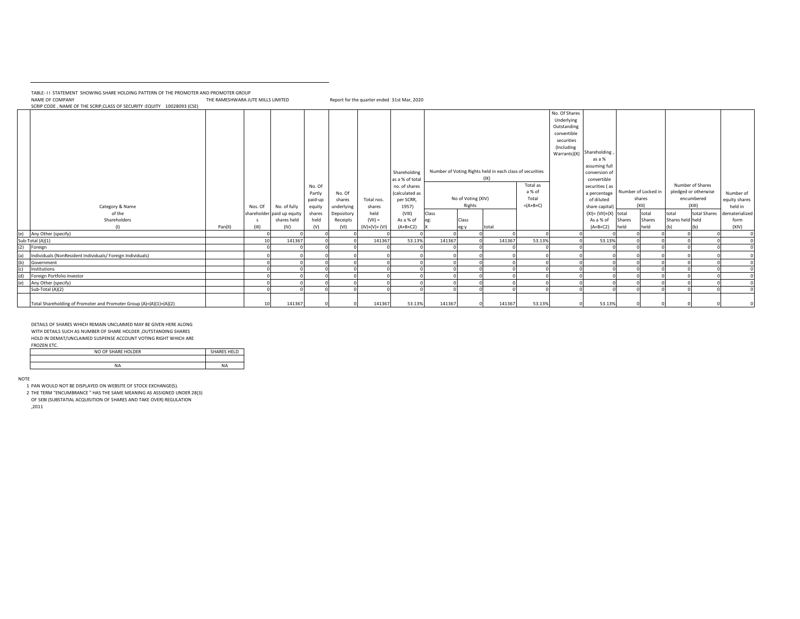TABLE- I I STATEMENT SHOWING SHARE HOLDING PATTERN OF THE PROMOTER AND PROMOTER GROUP

NAME OF COMPANY THE RAMESHWARA JUTE MILLS LIMITED Report for the quarter ended 31st Mar, 2020

SCRIP CODE , NAME OF THE SCRIP,CLASS OF SECURITY :EQUITY 10028093 (CSE)

|                   |                                                                     |         |         |                            |         |            |                |                 |        |                    |                                                          |            | No. Of Shares<br>Underlying<br>Outstanding |                          |        |                     |                  |                      |                             |
|-------------------|---------------------------------------------------------------------|---------|---------|----------------------------|---------|------------|----------------|-----------------|--------|--------------------|----------------------------------------------------------|------------|--------------------------------------------|--------------------------|--------|---------------------|------------------|----------------------|-----------------------------|
|                   |                                                                     |         |         |                            |         |            |                |                 |        |                    |                                                          |            | convertible                                |                          |        |                     |                  |                      |                             |
|                   |                                                                     |         |         |                            |         |            |                |                 |        |                    |                                                          |            | securities                                 |                          |        |                     |                  |                      |                             |
|                   |                                                                     |         |         |                            |         |            |                |                 |        |                    |                                                          |            | (Including                                 | Shareholding             |        |                     |                  |                      |                             |
|                   |                                                                     |         |         |                            |         |            |                |                 |        |                    |                                                          |            | Warrants)(X)                               | as a %                   |        |                     |                  |                      |                             |
|                   |                                                                     |         |         |                            |         |            |                |                 |        |                    |                                                          |            |                                            | assuming full            |        |                     |                  |                      |                             |
|                   |                                                                     |         |         |                            |         |            |                | Shareholding    |        |                    | Number of Voting Rights held in each class of securities |            |                                            | conversion of            |        |                     |                  |                      |                             |
|                   |                                                                     |         |         |                            |         |            |                | as a % of total |        |                    | (IX)                                                     |            |                                            | convertible              |        |                     |                  |                      |                             |
|                   |                                                                     |         |         |                            | No. Of  |            |                | no. of shares   |        |                    |                                                          | Total as   |                                            | securities (as           |        |                     |                  | Number of Shares     |                             |
|                   |                                                                     |         |         |                            | Partly  | No. Of     |                | (calculated as  |        |                    |                                                          | a % of     |                                            | a percentage             |        | Number of Locked in |                  | pledged or otherwise | Number of                   |
|                   |                                                                     |         |         |                            | paid-up | shares     | Total nos.     | per SCRR,       |        | No of Voting (XIV) |                                                          | Total      |                                            | of diluted               |        | shares              |                  | encumbered           | equity shares               |
|                   | Category & Name                                                     |         | Nos. Of | No. of fully               | equity  | underlying | shares         | 1957)           |        | Rights             |                                                          | $=(A+B+C)$ |                                            | share capital)           |        | (XII)               |                  | (XIII)               | held in                     |
|                   | of the                                                              |         |         | shareholder paid up equity | shares  | Depository | held           | (VIII)          | Class  |                    |                                                          |            |                                            | $(XI) = (VII)+(X)$ total |        | total               | total            |                      | total Shares dematerialized |
|                   | Shareholders                                                        |         |         | shares held                | held    | Receipts   | $(VII) =$      | As a % of       |        | Class              |                                                          |            |                                            | As a % of                | Shares | Shares              | Shares held held |                      | form                        |
|                   | (1)                                                                 | Pan(II) | (III)   | (IV)                       | (V)     | (VI)       | $(IV)+(V)+(V)$ | $(A+B+C2)$      |        | eg:y               | total                                                    |            |                                            | $(A+B+C2)$               | held   | held                | (b)              |                      | (XIV)                       |
| (e)               | Any Other (specify)<br>Sub-Total (A)(1)                             |         | 10      | 141367                     |         |            | 141367         | 53.13%          | 141367 |                    | 141367                                                   | 53.13%     |                                            | 53.13%                   |        |                     |                  |                      | $^{\circ}$                  |
| (2)               | Foreign                                                             |         |         |                            |         |            |                |                 |        |                    |                                                          |            |                                            |                          |        |                     |                  |                      |                             |
|                   |                                                                     |         |         |                            |         |            |                |                 |        |                    |                                                          |            |                                            |                          |        |                     |                  |                      |                             |
| (a)<br>(b)<br>(c) | Individuals (NonResident Individuals/ Foreign Individuals)          |         |         |                            |         |            |                |                 |        |                    |                                                          |            |                                            |                          |        |                     |                  |                      |                             |
|                   | Government<br>Institutions                                          |         |         |                            |         |            |                |                 |        |                    |                                                          |            |                                            |                          |        |                     |                  |                      |                             |
| (d)               | Foreign Portfolio Investor                                          |         |         |                            |         |            |                |                 |        |                    |                                                          |            |                                            |                          |        |                     |                  |                      |                             |
| (e)               | Any Other (specify)                                                 |         |         |                            |         |            |                |                 |        |                    |                                                          |            |                                            |                          |        |                     |                  |                      |                             |
|                   | Sub-Total (A)(2)                                                    |         |         |                            |         |            |                |                 |        |                    |                                                          |            |                                            |                          |        |                     |                  |                      |                             |
|                   |                                                                     |         |         |                            |         |            |                |                 |        |                    |                                                          |            |                                            |                          |        |                     |                  |                      |                             |
|                   | Total Shareholding of Promoter and Promoter Group (A)=(A)(1)+(A)(2) |         | 10      | 141367                     |         |            | 141367         | 53.13%          | 141367 |                    | 141367<br>0                                              | 53.13%     |                                            | 53.13%                   |        |                     |                  |                      |                             |

DETAILS OF SHARES WHICH REMAIN UNCLAIMED MAY BE GIVEN HERE ALONG WITH DETAILS SUCH AS NUMBER OF SHARE HOLDER ,OUTSTANDING SHARES HOLD IN DEMAT/UNCLAIMED SUSPENSE ACCOUNT VOTING RIGHT WHICH ARE FROZEN ETC.

| .                  |                    |
|--------------------|--------------------|
| NO OF SHARE HOLDER | <b>SHARES HELD</b> |
|                    |                    |
|                    | <b>NA</b>          |
|                    |                    |

NOTE

---<br>1 PAN WOULD NOT BE DISPLAYED ON WEBSITE OF STOCK EXCHANGE(S).

2 THE TERM "ENCUMBRANCE " HAS THE SAME MEANING AS ASSIGNED UNDER 28(3) OF SEBI (SUBSTATIAL ACQUISITION OF SHARES AND TAKE OVER) REGULATION

,2011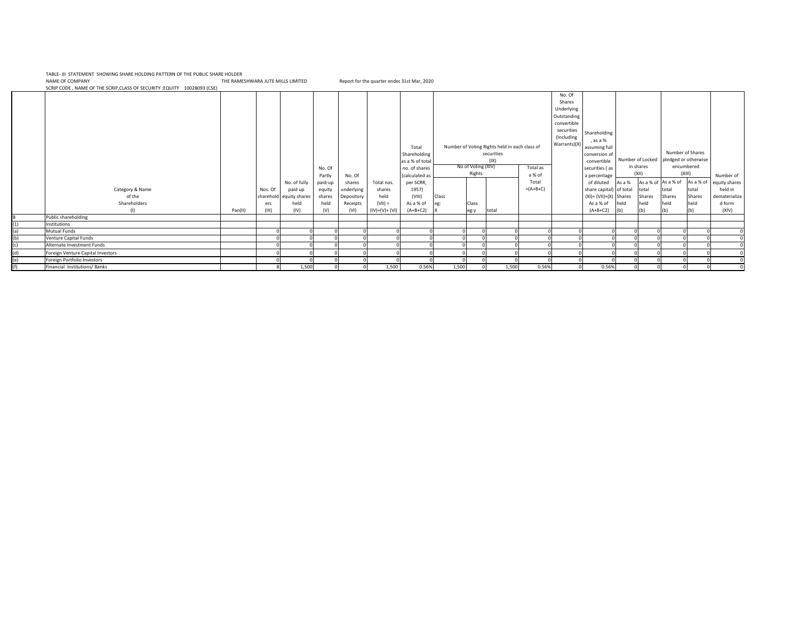NAME OF COMPANY THE RAMESHWARA JUTE MILLS LIMITED Report for the quarter endec 31st Mar, 2020<br>SCRIP CODE , NAME OF THE SCRIP,CLASS OF SECURITY :EQUITY 10028093 (CSE) TABLE- III STATEMENT SHOWING SHARE HOLDING PATTERN OF THE PUBLIC SHARE HOLDER

|     | SCRIP CODE, INAIVIE OF THE SCRIP, CEASS OF SECONTHITIC CONTINUES (CSE) |         |              |                                                            |                                                 |                                              |                                           |                                                                                                                          |       |                                       |                                                                     |                                           |                                                                                                          |                                                                                                                                                                                                |                |                                                                      |                                                                                                    |                                   |                                                                            |
|-----|------------------------------------------------------------------------|---------|--------------|------------------------------------------------------------|-------------------------------------------------|----------------------------------------------|-------------------------------------------|--------------------------------------------------------------------------------------------------------------------------|-------|---------------------------------------|---------------------------------------------------------------------|-------------------------------------------|----------------------------------------------------------------------------------------------------------|------------------------------------------------------------------------------------------------------------------------------------------------------------------------------------------------|----------------|----------------------------------------------------------------------|----------------------------------------------------------------------------------------------------|-----------------------------------|----------------------------------------------------------------------------|
|     | Category & Name<br>of the<br>Shareholders                              |         | Nos. Of      | No. of fully<br>paid up<br>sharehold equity shares<br>held | No. Of<br>Partly<br>paid-up<br>equity<br>shares | No. Of<br>shares<br>underlying<br>Depository | Total nos.<br>shares<br>held<br>$(VII) =$ | Total<br>Shareholding<br>as a % of total<br>no. of shares<br>(calculated as<br>per SCRR,<br>1957)<br>(VIII)<br>As a % of | Class | No of Voting (XIV)<br>Rights<br>Class | Number of Voting Rights held in each class of<br>securities<br>(IX) | Total as<br>a % of<br>Total<br>$=(A+B+C)$ | No. Of<br>Shares<br>Underlying<br>Outstanding<br>convertible<br>securities<br>(Including<br>Warrants)(X) | Shareholding<br>, as a %<br>assuming full<br>conversion of<br>convertible<br>securities (as<br>a percentage<br>of diluted<br>share capital) of total<br>$(XI) = (VII)+(X)$ Shares<br>As a % of | As a %<br>held | in shares<br>(XII)<br>As a % of As a % of<br>total<br>Shares<br>held | Number of Shares<br>Number of Locked pledged or otherwise<br>encumbered<br>total<br>Shares<br>held | (XIII)<br>total<br>Shares<br>held | Number of<br>As a % of equity shares<br>held in<br>dematerialize<br>d form |
|     | (1)                                                                    | Pan(II) | ers<br>(III) | (IV)                                                       | held<br>(V)                                     | Receipts<br>(VI)                             | $(IV)+(V)+(VI)$                           | $(A+B+C2)$                                                                                                               | eg:   | leg:y                                 | total                                                               |                                           |                                                                                                          | $(A+B+C2)$                                                                                                                                                                                     | (b)            | (b)                                                                  | (b)                                                                                                |                                   | (XIV)                                                                      |
|     | Public shareholding                                                    |         |              |                                                            |                                                 |                                              |                                           |                                                                                                                          |       |                                       |                                                                     |                                           |                                                                                                          |                                                                                                                                                                                                |                |                                                                      |                                                                                                    |                                   |                                                                            |
| (1) | Institutions                                                           |         |              |                                                            |                                                 |                                              |                                           |                                                                                                                          |       |                                       |                                                                     |                                           |                                                                                                          |                                                                                                                                                                                                |                |                                                                      |                                                                                                    |                                   |                                                                            |
| (a) | Mutual Funds                                                           |         |              |                                                            |                                                 |                                              |                                           |                                                                                                                          |       |                                       |                                                                     |                                           |                                                                                                          |                                                                                                                                                                                                |                |                                                                      |                                                                                                    |                                   |                                                                            |
| (b) | Venture Capital Funds                                                  |         |              |                                                            |                                                 |                                              |                                           |                                                                                                                          |       |                                       |                                                                     |                                           |                                                                                                          |                                                                                                                                                                                                |                |                                                                      |                                                                                                    |                                   |                                                                            |
|     | Alternate Investment Funds                                             |         |              |                                                            |                                                 |                                              |                                           |                                                                                                                          |       |                                       |                                                                     |                                           |                                                                                                          |                                                                                                                                                                                                |                |                                                                      |                                                                                                    |                                   |                                                                            |
|     | Foreign Venture Capital Investors                                      |         |              |                                                            |                                                 |                                              |                                           |                                                                                                                          |       |                                       |                                                                     |                                           |                                                                                                          |                                                                                                                                                                                                |                |                                                                      |                                                                                                    |                                   |                                                                            |
| (e) | Foreign Portfolio Investors                                            |         |              |                                                            |                                                 |                                              |                                           |                                                                                                                          |       |                                       |                                                                     |                                           |                                                                                                          |                                                                                                                                                                                                |                |                                                                      |                                                                                                    |                                   |                                                                            |
|     | Financial Institutions/Banks                                           |         |              | 1,500                                                      |                                                 |                                              | 1,500                                     | 0.56%                                                                                                                    | 1,500 |                                       | 1,500                                                               | 0.56%                                     |                                                                                                          | 0.56%                                                                                                                                                                                          |                |                                                                      |                                                                                                    |                                   |                                                                            |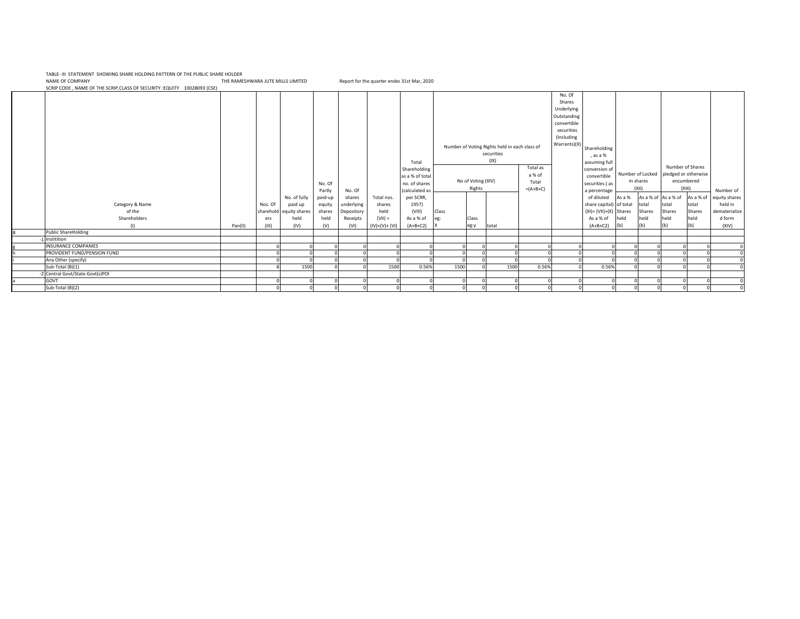NAME OF COMPANY THE RAMESHWARA JUTE MILLS LIMITED Report for the quarter endec 31st Mar, 2020<br>SCRIP CODE , NAME OF THE SCRIP,CLASS OF SECURITY :EQUITY 10028093 (CSE) TABLE- III STATEMENT SHOWING SHARE HOLDING PATTERN OF THE PUBLIC SHARE HOLDER

|                               |         |         |                         |         |            |                |                 |       |                    |                                               |            | No. Of       |                           |        |                  |                      |           |               |
|-------------------------------|---------|---------|-------------------------|---------|------------|----------------|-----------------|-------|--------------------|-----------------------------------------------|------------|--------------|---------------------------|--------|------------------|----------------------|-----------|---------------|
|                               |         |         |                         |         |            |                |                 |       |                    |                                               |            | Shares       |                           |        |                  |                      |           |               |
|                               |         |         |                         |         |            |                |                 |       |                    |                                               |            | Underlying   |                           |        |                  |                      |           |               |
|                               |         |         |                         |         |            |                |                 |       |                    |                                               |            | Outstanding  |                           |        |                  |                      |           |               |
|                               |         |         |                         |         |            |                |                 |       |                    |                                               |            | convertible  |                           |        |                  |                      |           |               |
|                               |         |         |                         |         |            |                |                 |       |                    |                                               |            | securities   |                           |        |                  |                      |           |               |
|                               |         |         |                         |         |            |                |                 |       |                    |                                               |            | (Including   |                           |        |                  |                      |           |               |
|                               |         |         |                         |         |            |                |                 |       |                    | Number of Voting Rights held in each class of |            | Warrants)(X) | Shareholding              |        |                  |                      |           |               |
|                               |         |         |                         |         |            |                |                 |       |                    | securities                                    |            |              | , as a %                  |        |                  |                      |           |               |
|                               |         |         |                         |         |            |                | Total           |       |                    | (IX)                                          |            |              | assuming full             |        |                  |                      |           |               |
|                               |         |         |                         |         |            |                | Shareholding    |       |                    |                                               | Total as   |              | conversion of             |        |                  | Number of Shares     |           |               |
|                               |         |         |                         |         |            |                | as a % of total |       |                    |                                               | a % of     |              | convertible               |        | Number of Locked | pledged or otherwise |           |               |
|                               |         |         |                         | No. Of  |            |                | no. of shares   |       | No of Voting (XIV) |                                               | Total      |              | securities (as            |        | in shares        | encumbered           |           |               |
|                               |         |         |                         | Partly  | No. Of     |                | (calculated as  |       | Rights             |                                               | $=(A+B+C)$ |              | a percentage              |        | (XII)            | (XIII)               |           | Number of     |
|                               |         |         | No. of fully            | paid-up | shares     | Total nos.     | per SCRR,       |       |                    |                                               |            |              | of diluted                | As a % |                  | As a % of As a % of  | As a % of | equity shares |
| Category & Name               |         | Nos. Of | paid up                 | equity  | underlying | shares         | 1957)           |       |                    |                                               |            |              | share capital) of total   |        | total            | total                | total     | held in       |
| of the                        |         |         | sharehold equity shares | shares  | Depository | held           | (VIII)          | Class |                    |                                               |            |              | $(XI) = (VII)+(X)$ Shares |        | Shares           | Shares               | Shares    | dematerialize |
| Shareholders                  |         | ers     | held                    | held    | Receipts   | $(VII) =$      | As a % of       | eg:   | Class              |                                               |            |              | As a % of                 | held   | held             | held                 | held      | d form        |
| (1)                           | Pan(II) | (III)   | (IV)                    | (V)     | (VI)       | $(IV)+(V)+(V)$ | $(A+B+C2)$      |       | eg:y               | total                                         |            |              | $(A+B+C2)$                | (b)    | (b)              | (b)                  | (b)       | (XIV)         |
| <b>Public ShareHolding</b>    |         |         |                         |         |            |                |                 |       |                    |                                               |            |              |                           |        |                  |                      |           |               |
| 1 Institition                 |         |         |                         |         |            |                |                 |       |                    |                                               |            |              |                           |        |                  |                      |           |               |
| <b>INSURANCE COMPANIES</b>    |         |         |                         |         |            |                |                 |       |                    |                                               |            |              |                           |        |                  |                      |           |               |
| PROVIDENT FUND/PENSION FUND   |         |         |                         |         |            |                |                 |       |                    |                                               |            |              |                           |        |                  |                      |           |               |
| Any Other (specify)           |         |         |                         |         |            |                |                 |       |                    |                                               |            |              |                           |        |                  |                      |           |               |
| Sub-Total (B)(1)              |         |         | 1500                    |         |            | 1500           | 0.56%           | 1500  |                    | 1500                                          | 0.56%      |              | 0.56%                     |        |                  |                      |           |               |
| Central Govt/State Govt(s)POI |         |         |                         |         |            |                |                 |       |                    |                                               |            |              |                           |        |                  |                      |           |               |
| GOVT                          |         |         |                         |         |            |                |                 |       |                    |                                               |            |              |                           |        |                  |                      |           |               |
| Sub-Total (B)(2)              |         |         | $\Omega$                |         |            |                |                 |       |                    |                                               |            |              |                           |        |                  |                      |           |               |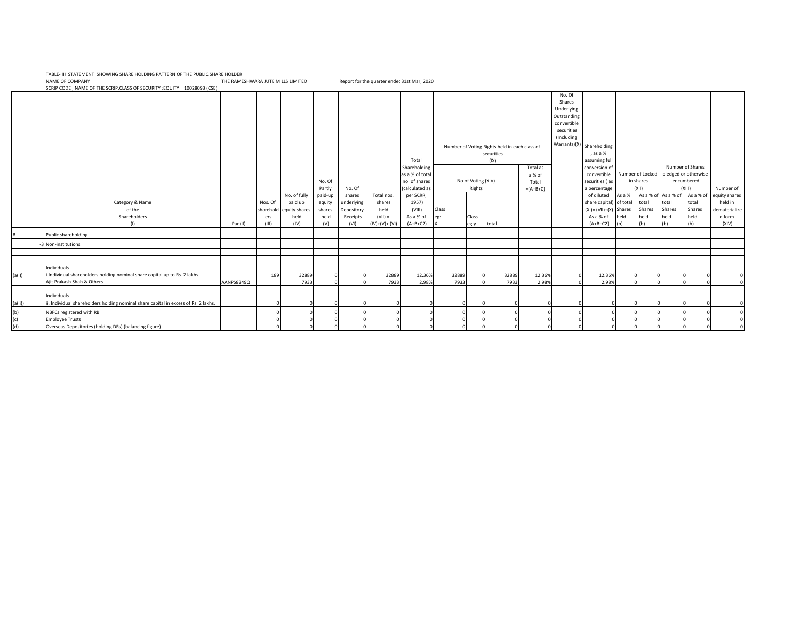NAME OF COMPANY THE RAMESHWARA JUTE MILLS LIMITED Report for the quarter endec 31st Mar, 2020<br>SCRIP CODE , NAME OF THE SCRIP,CLASS OF SECURITY :EQUITY 10028093 (CSE) TABLE- III STATEMENT SHOWING SHARE HOLDING PATTERN OF THE PUBLIC SHARE HOLDER

|         |                                                                                     |            |         |                         | No. Of  |            |                 | Total<br>Shareholding<br>as a % of total<br>no. of shares |       | No of Voting (XIV) | Number of Voting Rights held in each class of<br>securities<br>(IX) | Total as<br>a % of<br>Total | No. Of<br>Shares<br>Underlying<br>Outstanding<br>convertible<br>securities<br>(Including | Warrants)(X) Shareholding<br>, as a %<br>assuming full<br>conversion of<br>convertible<br>securities (as |          | in shares |        | Number of Shares<br>Number of Locked pledged or otherwise<br>encumbered |               |
|---------|-------------------------------------------------------------------------------------|------------|---------|-------------------------|---------|------------|-----------------|-----------------------------------------------------------|-------|--------------------|---------------------------------------------------------------------|-----------------------------|------------------------------------------------------------------------------------------|----------------------------------------------------------------------------------------------------------|----------|-----------|--------|-------------------------------------------------------------------------|---------------|
|         |                                                                                     |            |         |                         |         |            |                 |                                                           |       | Rights             |                                                                     |                             |                                                                                          |                                                                                                          |          | (XII)     |        | (XIII)                                                                  | Number of     |
|         |                                                                                     |            |         |                         | Partly  | No. Of     |                 | (calculated as                                            |       |                    |                                                                     | $=(A+B+C)$                  |                                                                                          | a percentage                                                                                             | As a %   |           |        | As a % of As a % of As a % of                                           |               |
|         |                                                                                     |            |         | No. of fully            | paid-up | shares     | Total nos.      | per SCRR,                                                 |       |                    |                                                                     |                             |                                                                                          | of diluted                                                                                               |          |           |        |                                                                         | equity shares |
|         | Category & Name                                                                     |            | Nos. Of | paid up                 | equity  | underlying | shares          | 1957)                                                     |       |                    |                                                                     |                             |                                                                                          | share capital) of total                                                                                  |          | total     | total  | total                                                                   | held in       |
|         | of the                                                                              |            |         | sharehold equity shares | shares  | Depository | held            | (VIII)                                                    | Class |                    |                                                                     |                             |                                                                                          | $(XI) = (VII)+(X)$ Shares                                                                                |          | Shares    | Shares | Shares                                                                  | dematerialize |
|         | Shareholders                                                                        |            | ers     | held                    | held    | Receipts   | $(VII) =$       | As a % of                                                 | eg:   | Class              |                                                                     |                             |                                                                                          | As a % of                                                                                                | held     | held      | held   | held                                                                    | d form        |
|         | (1)                                                                                 | Pan(II)    | (III)   | (IV)                    | (V)     | (VI)       | $(IV)+(V)+(VI)$ | $(A+B+C2)$                                                |       | eg:y               | total                                                               |                             |                                                                                          | $(A+B+C2)$                                                                                               | (b)      | (b)       |        |                                                                         | (XIV)         |
|         | Public shareholding                                                                 |            |         |                         |         |            |                 |                                                           |       |                    |                                                                     |                             |                                                                                          |                                                                                                          |          |           |        |                                                                         |               |
|         | 3 Non-institutions                                                                  |            |         |                         |         |            |                 |                                                           |       |                    |                                                                     |                             |                                                                                          |                                                                                                          |          |           |        |                                                                         |               |
|         |                                                                                     |            |         |                         |         |            |                 |                                                           |       |                    |                                                                     |                             |                                                                                          |                                                                                                          |          |           |        |                                                                         |               |
|         | Individuals -                                                                       |            |         |                         |         |            |                 |                                                           |       |                    |                                                                     |                             |                                                                                          |                                                                                                          |          |           |        |                                                                         |               |
| (a(i))  | i.Individual shareholders holding nominal share capital up to Rs. 2 lakhs.          |            | 189     | 32889                   |         |            | 32889           | 12.36%                                                    | 32889 |                    | 32889                                                               | 12.36%                      |                                                                                          | 12.36%                                                                                                   |          |           |        |                                                                         |               |
|         | Ajit Prakash Shah & Others                                                          | AANPS8249Q |         | 7933                    |         |            | 7933            | 2.98%                                                     | 7933  |                    | 7933                                                                | 2.98%                       |                                                                                          | 2.98%                                                                                                    |          |           |        |                                                                         |               |
|         | Individuals -                                                                       |            |         |                         |         |            |                 |                                                           |       |                    |                                                                     |                             |                                                                                          |                                                                                                          |          |           |        |                                                                         |               |
| (a(ii)) | ii. Individual shareholders holding nominal share capital in excess of Rs. 2 lakhs. |            |         |                         |         |            |                 |                                                           |       |                    |                                                                     |                             |                                                                                          |                                                                                                          |          |           |        |                                                                         |               |
| (b)     | NBFCs registered with RBI                                                           |            |         |                         |         |            |                 |                                                           |       |                    |                                                                     |                             |                                                                                          |                                                                                                          |          |           |        |                                                                         |               |
| (c)     | <b>Employee Trusts</b>                                                              |            |         |                         |         |            |                 |                                                           |       |                    |                                                                     |                             |                                                                                          |                                                                                                          |          |           |        |                                                                         |               |
| (d)     | Overseas Depositories (holding DRs) (balancing figure)                              |            |         |                         |         |            |                 |                                                           |       |                    |                                                                     |                             |                                                                                          |                                                                                                          | $\Omega$ |           |        |                                                                         |               |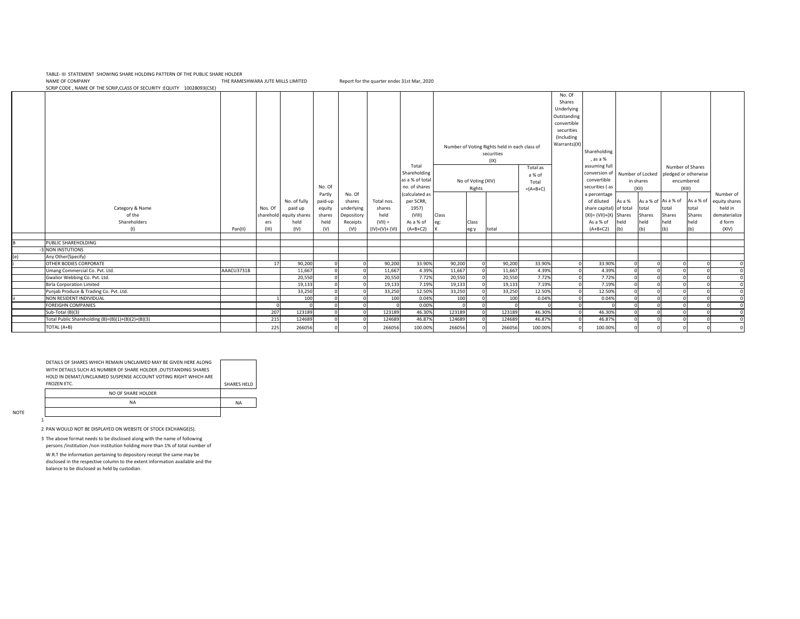NAME OF COMPANY THE RAMESHWARA JUTE MILLS LIMITED Report for the quarter ended 31st Mar, 2020 TABLE- III STATEMENT SHOWING SHARE HOLDING PATTERN OF THE PUBLIC SHARE HOLDER

Class eg: X Class eg:y total As a % of total Shares held (b) As a  $%$  of total Shares held (b) As a % of total Shares held (b) As a % of total Shares held (b) PUBLIC SHAREHOLDING -3 NON INSTUTIONS Any Other(Specify) i |OTHER BODIES CORPORATE | 17 | 90,200 | 0| 90,200 0 0 0 0,200 0 0 90,200 0 90,200 0 90,200 0 33.90% 0 0 33.90% 0 0 0 0 0 0 0 0 Umang Commercial Co. Pvt. Ltd. AAACU3731B 11,667 0 0 11,667 4.39% 11,667 0 11,667 4.39% 0 4.39% 0 0 0 0 0 Gwalior Webbing Co. Pvt. Ltd. 20,550 0 0 20,550 7.72% 20,550 0 20,550 7.72% 0 7.72% 0 0 0 0 0 Birla Corporation Limited 19,133 0 0 19,133 7.19% 19,133 0 19,133 7.19% 0 7.19% 0 0 0 0 0 Punjab Produce & Trading Co. Pvt. Ltd. 33,250 0 0 33,250 12.50% 33,250 0 33,250 12.50% 0 12.50% 0 0 0 0 0 ii NON RESIDENT INDIVIDUAL | 1| 100| 0| 0| 100| 0.04%| 100| 0.04%| 0| 0.04%| 0| 0| 0| 0| 0| FOREIGHN COMPANIES 0 0 0 0 0 0.00% 0 0 0 0 0 0 0 0 0 0 0 Sub-Total (B)(3) 207 123189 0 0 123189 46.30% 123189 0 123189 46.30% 0 46.30% 0 0 0 0 0 Total Public Shareholding (B)=(B)(1)+(B)(2)+(B)(3) 215 124689 0 0 124689 0 124689 0 124689 0 124689 124689 124689 0 124689 124689 124689 124689 124689 124689 124689 124689 124689 124689 124689 124689 124689 124689 124689 1 TOTAL (A+B) 225 266056 0 0 266056 100.00% 266056 0 266056 100.00% 0 100.00% 0 0 0 0 0 SCRIP CODE , NAME OF THE SCRIP,CLASS OF SECURITY :EQUITY 10028093(CSE) Category & Name of the Shareholders (I) Pan(II) Nos. Of sharehold ers (III) No. of fully paid up equity shares held (IV) No. Of Partly paid-up equity shares held (V) Number of equity shares held in ematerialize d form (XIV) No of Voting (XIV) Rights Total as a % of Total  $=(A+B+C)$ No. Of shares underlying Depository Receipts (VI) Total nos. shares held (VII) = (IV)+(V)+ (VI) Total Shareholding as a % of total no. of shares (calculated as per SCRR, 1957) (VIII) As a % of (A+B+C2) Number of Voting Rights held in each class of securities (IX) No. Of Shares Underlying Outstanding convertible securities (Including Warrants)(X) Shareholding , as a % assuming full conversion of convertible securities ( as a percentage of diluted share capital)  $(XI) = (VII) + (X)$ As a % of (A+B+C2) Number of Shares pledged or otherwise encumbered (XIII) Number of Locked in shares (XII)

| DETAILS OF SHARES WHICH REMAIN UNCLAIMED MAY BE GIVEN HERE ALONG |             |
|------------------------------------------------------------------|-------------|
| WITH DETAILS SUCH AS NUMBER OF SHARE HOLDER ,OUTSTANDING SHARES  |             |
| HOLD IN DEMAT/UNCLAIMED SUSPENSE ACCOUNT VOTING RIGHT WHICH ARE  |             |
| <b>FROZEN FTC.</b>                                               | SHARES HELD |
| NO OF SHARE HOLDER                                               |             |
| <b>NA</b>                                                        | <b>NA</b>   |
|                                                                  |             |
|                                                                  |             |

NOTE

1

2 PAN WOULD NOT BE DISPLAYED ON WEBSITE OF STOCK EXCHANGE(S).

3 The above format needs to be disclosed along with the name of following persons /institution /non institution holding more than 1% of total number of

W.R.T the information pertaining to depository receipt the same may be disclosed in the respective column to the extent information available and the balance to be disclosed as held by custodian.